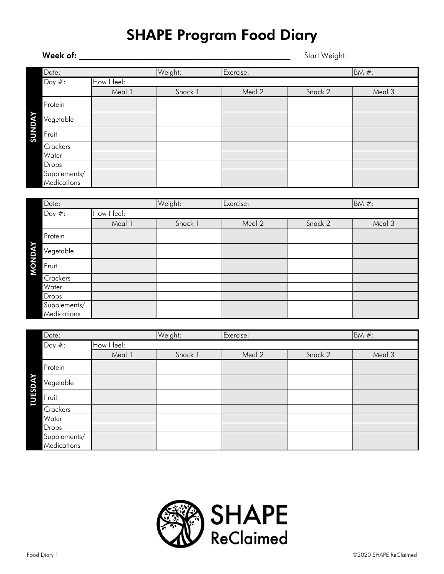## SHAPE Program Food Diary

|                      | Week of:     |             | Start Weight: |           |         |          |
|----------------------|--------------|-------------|---------------|-----------|---------|----------|
|                      | Date:        |             | Weight:       | Exercise: |         | BM $#$ : |
|                      | Day $#$ :    | How I feel: |               |           |         |          |
|                      |              | Meal 1      | Snack 1       | Meal 2    | Snack 2 | Meal 3   |
|                      | Protein      |             |               |           |         |          |
| <b><i>SUNDAY</i></b> | Vegetable    |             |               |           |         |          |
|                      | Fruit        |             |               |           |         |          |
|                      | Crackers     |             |               |           |         |          |
|                      | Water        |             |               |           |         |          |
|                      | Drops        |             |               |           |         |          |
|                      | Supplements/ |             |               |           |         |          |
|                      | Medications  |             |               |           |         |          |
|                      |              |             |               |           |         |          |
|                      | Data.        |             | Weight.       | Fvarcica  |         | $RMA \#$ |

| Date:        |             | Weight: | Exercise: |         | $BM#$ : |
|--------------|-------------|---------|-----------|---------|---------|
| Day $#$ :    | How I feel: |         |           |         |         |
|              | Meal 1      | Snack 1 | Meal 2    | Snack 2 | Meal 3  |
| Protein      |             |         |           |         |         |
| Vegetable    |             |         |           |         |         |
| Fruit        |             |         |           |         |         |
| Crackers     |             |         |           |         |         |
| Water        |             |         |           |         |         |
| Drops        |             |         |           |         |         |
| Supplements/ |             |         |           |         |         |
| Medications  |             |         |           |         |         |

|                     | Date:                       |             | Weight: | Exercise: |         | $BM#$ : |
|---------------------|-----------------------------|-------------|---------|-----------|---------|---------|
|                     | Day $#$ :                   | How I feel: |         |           |         |         |
|                     |                             | Meal 1      | Snack 1 | Meal 2    | Snack 2 | Meal 3  |
|                     | Protein                     |             |         |           |         |         |
| ≻<br><b>TUESDAY</b> | Vegetable                   |             |         |           |         |         |
|                     | Fruit                       |             |         |           |         |         |
|                     | Crackers                    |             |         |           |         |         |
|                     | Water                       |             |         |           |         |         |
|                     | Drops                       |             |         |           |         |         |
|                     | Supplements/<br>Medications |             |         |           |         |         |